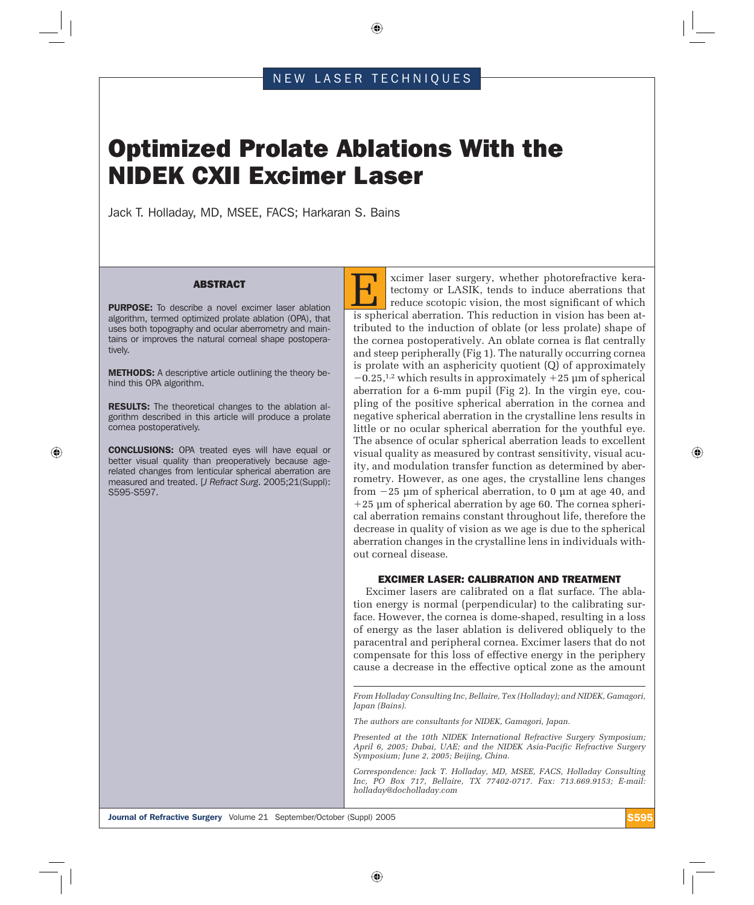⊕

## NEW LASER TECHNIQUES

# Optimized Prolate Ablations With the NIDEK CXII Excimer Laser

Jack T. Holladay, MD, MSEE, FACS; Harkaran S. Bains

#### ABSTRACT

PURPOSE: To describe a novel excimer laser ablation algorithm, termed optimized prolate ablation (OPA), that uses both topography and ocular aberrometry and maintains or improves the natural corneal shape postoperatively.

METHODS: A descriptive article outlining the theory behind this OPA algorithm.

RESULTS: The theoretical changes to the ablation algorithm described in this article will produce a prolate cornea postoperatively.

CONCLUSIONS: OPA treated eyes will have equal or better visual quality than preoperatively because agerelated changes from lenticular spherical aberration are measured and treated. [*J Refract Surg*. 2005;21(Suppl): S595-S597.

⊕

E xcimer laser surgery, whether photorefractive keratectomy or LASIK, tends to induce aberrations that reduce scotopic vision, the most significant of which is spherical aberration. This reduction in vision has been attributed to the induction of oblate (or less prolate) shape of the cornea postoperatively. An oblate cornea is flat centrally and steep peripherally (Fig 1). The naturally occurring cornea is prolate with an asphericity quotient (Q) of approximately  $-0.25$ ,<sup>1,2</sup> which results in approximately  $+25$  µm of spherical aberration for a 6-mm pupil (Fig 2). In the virgin eye, coupling of the positive spherical aberration in the cornea and negative spherical aberration in the crystalline lens results in little or no ocular spherical aberration for the youthful eye. The absence of ocular spherical aberration leads to excellent visual quality as measured by contrast sensitivity, visual acuity, and modulation transfer function as determined by aberrometry. However, as one ages, the crystalline lens changes from  $-25 \mu m$  of spherical aberration, to 0  $\mu$ m at age 40, and -25 µm of spherical aberration by age 60. The cornea spherical aberration remains constant throughout life, therefore the decrease in quality of vision as we age is due to the spherical aberration changes in the crystalline lens in individuals without corneal disease.

## EXCIMER LASER: CALIBRATION AND TREATMENT

Excimer lasers are calibrated on a flat surface. The ablation energy is normal (perpendicular) to the calibrating surface. However, the cornea is dome-shaped, resulting in a loss of energy as the laser ablation is delivered obliquely to the paracentral and peripheral cornea. Excimer lasers that do not compensate for this loss of effective energy in the periphery cause a decrease in the effective optical zone as the amount

*From Holladay Consulting Inc, Bellaire, Tex (Holladay); and NIDEK, Gamagori, Japan (Bains).*

*The authors are consultants for NIDEK, Gamagori, Japan.*

⊕

*Presented at the 10th NIDEK International Refractive Surgery Symposium; April 6, 2005; Dubai, UAE; and the NIDEK Asia-Pacific Refractive Surgery Symposium; June 2, 2005; Beijing, China.*

*Correspondence: Jack T. Holladay, MD, MSEE, FACS, Holladay Consulting Inc, PO Box 717, Bellaire, TX 77402-0717. Fax: 713.669.9153; E-mail: holladay@docholladay.com*

Journal of Refractive Surgery Volume 21 September/October (Suppl) 2005 S595

⊕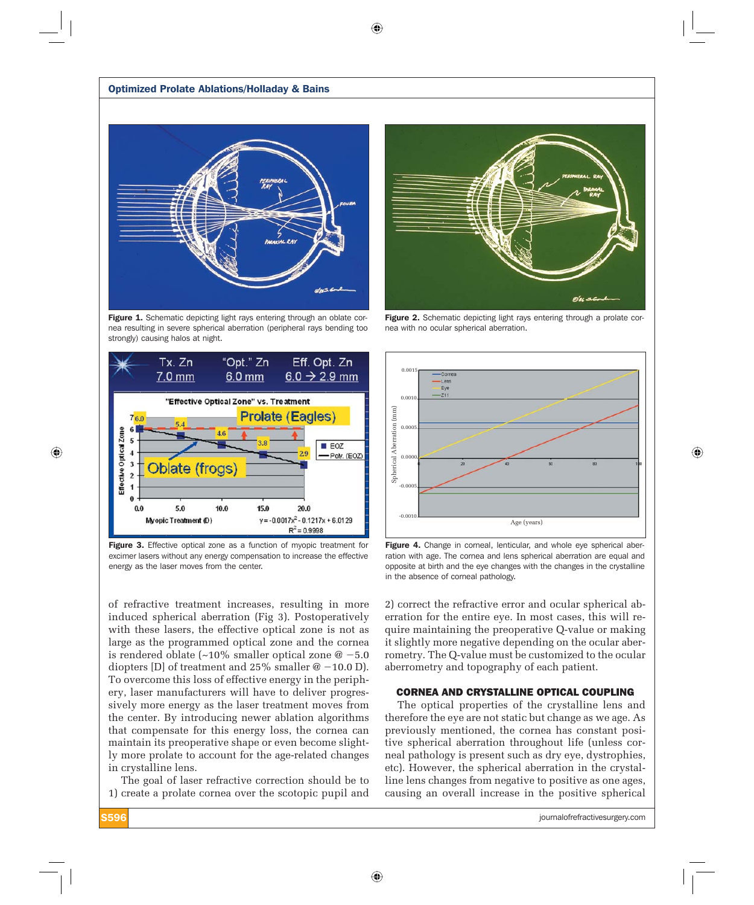$\bigoplus$ 



Figure 1. Schematic depicting light rays entering through an oblate cornea resulting in severe spherical aberration (peripheral rays bending too strongly) causing halos at night.



Figure 3. Effective optical zone as a function of myopic treatment for excimer lasers without any energy compensation to increase the effective energy as the laser moves from the center.

of refractive treatment increases, resulting in more induced spherical aberration (Fig 3). Postoperatively with these lasers, the effective optical zone is not as large as the programmed optical zone and the cornea is rendered oblate (~10% smaller optical zone  $@ - 5.0$ diopters [D] of treatment and 25% smaller  $@ -10.0$  D). To overcome this loss of effective energy in the periphery, laser manufacturers will have to deliver progressively more energy as the laser treatment moves from the center. By introducing newer ablation algorithms that compensate for this energy loss, the cornea can maintain its preoperative shape or even become slightly more prolate to account for the age-related changes in crystalline lens.

The goal of laser refractive correction should be to 1) create a prolate cornea over the scotopic pupil and

⊕



Figure 2. Schematic depicting light rays entering through a prolate cornea with no ocular spherical aberration.



Figure 4. Change in corneal, lenticular, and whole eye spherical aberration with age. The cornea and lens spherical aberration are equal and opposite at birth and the eye changes with the changes in the crystalline in the absence of corneal pathology.

2) correct the refractive error and ocular spherical aberration for the entire eye. In most cases, this will require maintaining the preoperative Q-value or making it slightly more negative depending on the ocular aberrometry. The Q-value must be customized to the ocular aberrometry and topography of each patient.

## CORNEA AND CRYSTALLINE OPTICAL COUPLING

The optical properties of the crystalline lens and therefore the eye are not static but change as we age. As previously mentioned, the cornea has constant positive spherical aberration throughout life (unless corneal pathology is present such as dry eye, dystrophies, etc). However, the spherical aberration in the crystalline lens changes from negative to positive as one ages, causing an overall increase in the positive spherical

**S596** journalofrefractivesurgery.com

⊕

⊕